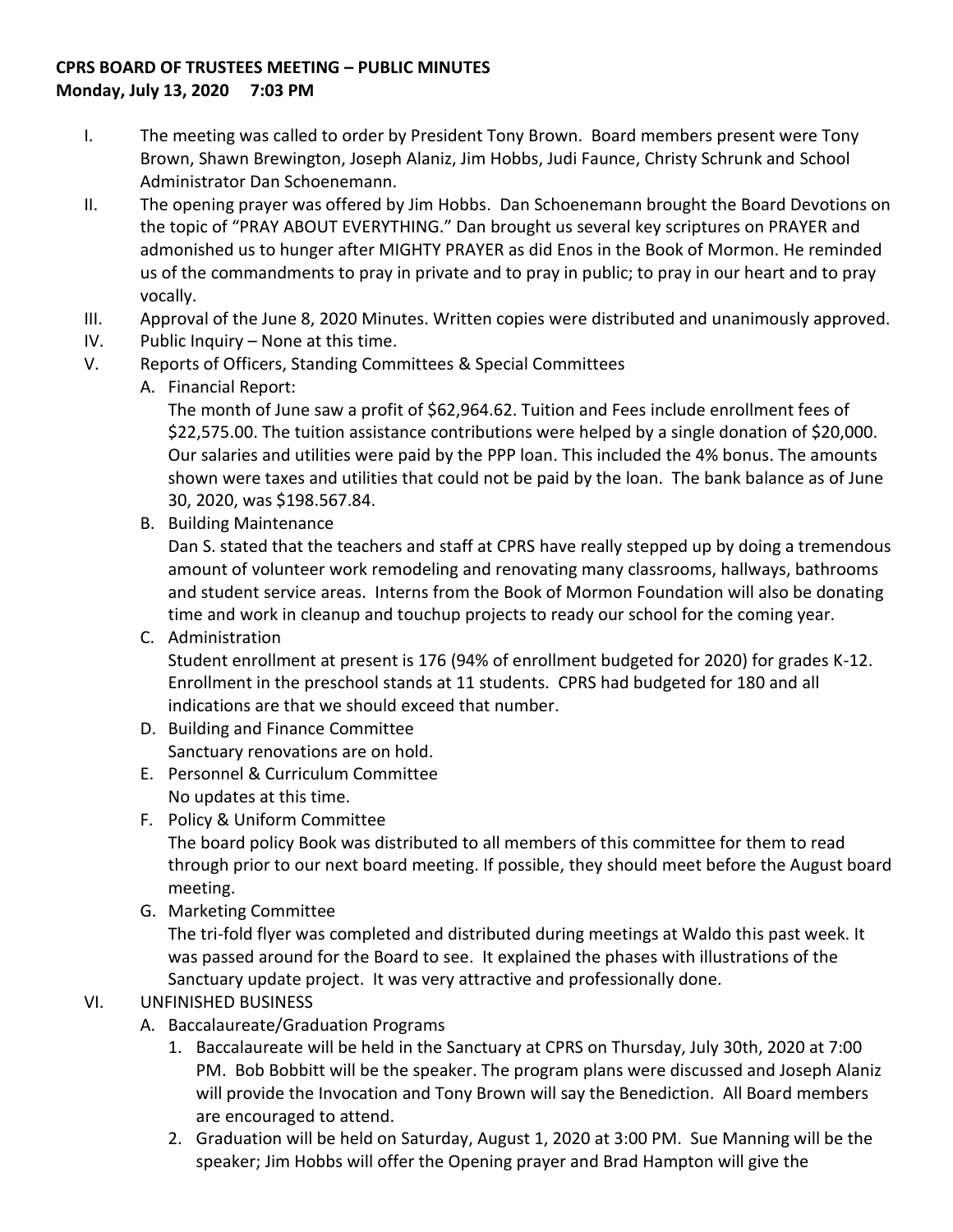## **CPRS BOARD OF TRUSTEES MEETING – PUBLIC MINUTES Monday, July 13, 2020 7:03 PM**

- I. The meeting was called to order by President Tony Brown. Board members present were Tony Brown, Shawn Brewington, Joseph Alaniz, Jim Hobbs, Judi Faunce, Christy Schrunk and School Administrator Dan Schoenemann.
- II. The opening prayer was offered by Jim Hobbs. Dan Schoenemann brought the Board Devotions on the topic of "PRAY ABOUT EVERYTHING." Dan brought us several key scriptures on PRAYER and admonished us to hunger after MIGHTY PRAYER as did Enos in the Book of Mormon. He reminded us of the commandments to pray in private and to pray in public; to pray in our heart and to pray vocally.
- III. Approval of the June 8, 2020 Minutes. Written copies were distributed and unanimously approved.
- IV. Public Inquiry None at this time.
- V. Reports of Officers, Standing Committees & Special Committees
	- A. Financial Report:

The month of June saw a profit of \$62,964.62. Tuition and Fees include enrollment fees of \$22,575.00. The tuition assistance contributions were helped by a single donation of \$20,000. Our salaries and utilities were paid by the PPP loan. This included the 4% bonus. The amounts shown were taxes and utilities that could not be paid by the loan. The bank balance as of June 30, 2020, was \$198.567.84.

B. Building Maintenance

Dan S. stated that the teachers and staff at CPRS have really stepped up by doing a tremendous amount of volunteer work remodeling and renovating many classrooms, hallways, bathrooms and student service areas. Interns from the Book of Mormon Foundation will also be donating time and work in cleanup and touchup projects to ready our school for the coming year.

C. Administration

Student enrollment at present is 176 (94% of enrollment budgeted for 2020) for grades K-12. Enrollment in the preschool stands at 11 students. CPRS had budgeted for 180 and all indications are that we should exceed that number.

- D. Building and Finance Committee Sanctuary renovations are on hold.
- E. Personnel & Curriculum Committee No updates at this time.
- F. Policy & Uniform Committee

The board policy Book was distributed to all members of this committee for them to read through prior to our next board meeting. If possible, they should meet before the August board meeting.

G. Marketing Committee

The tri-fold flyer was completed and distributed during meetings at Waldo this past week. It was passed around for the Board to see. It explained the phases with illustrations of the Sanctuary update project. It was very attractive and professionally done.

## VI. UNFINISHED BUSINESS

- A. Baccalaureate/Graduation Programs
	- 1. Baccalaureate will be held in the Sanctuary at CPRS on Thursday, July 30th, 2020 at 7:00 PM. Bob Bobbitt will be the speaker. The program plans were discussed and Joseph Alaniz will provide the Invocation and Tony Brown will say the Benediction. All Board members are encouraged to attend.
	- 2. Graduation will be held on Saturday, August 1, 2020 at 3:00 PM. Sue Manning will be the speaker; Jim Hobbs will offer the Opening prayer and Brad Hampton will give the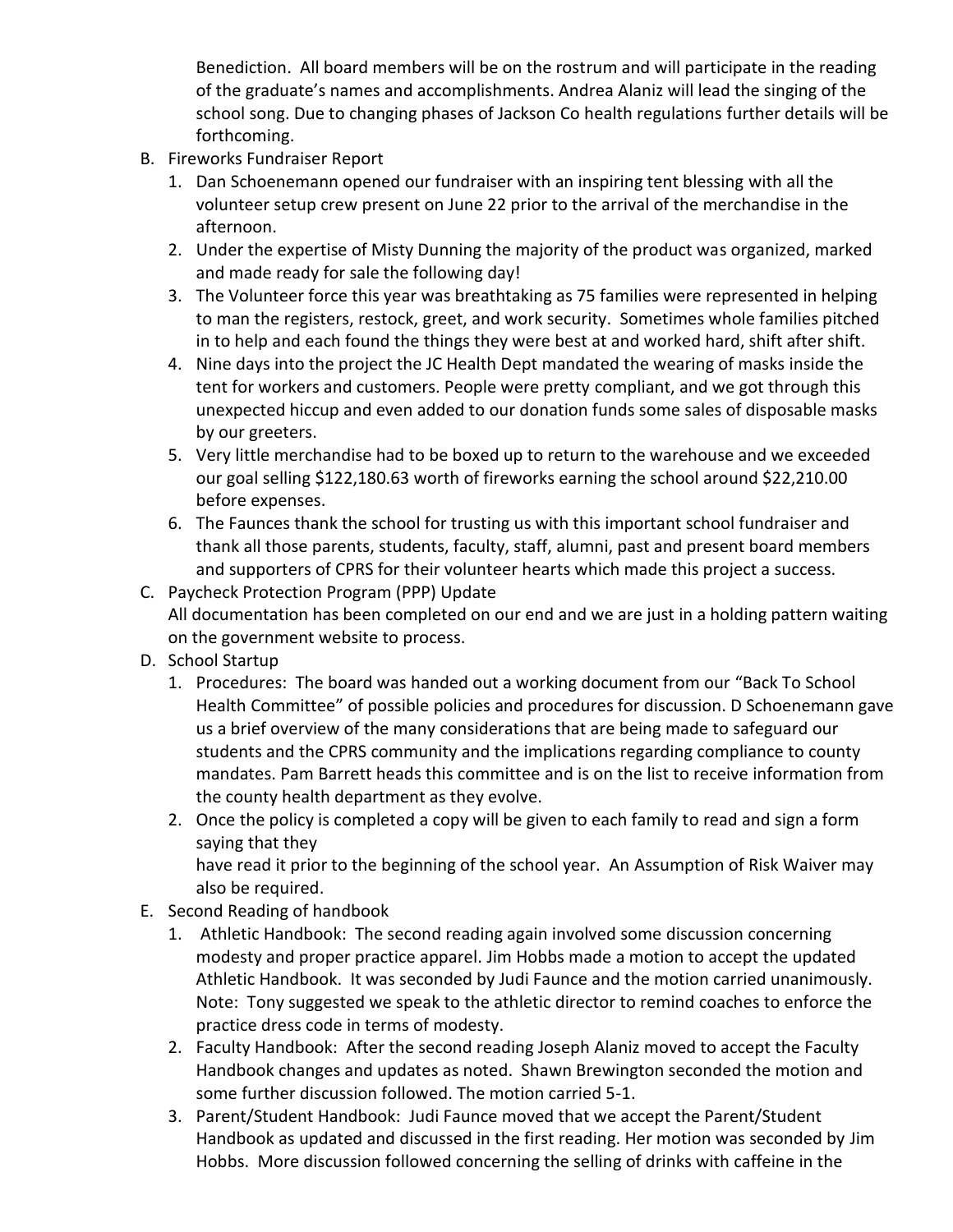Benediction. All board members will be on the rostrum and will participate in the reading of the graduate's names and accomplishments. Andrea Alaniz will lead the singing of the school song. Due to changing phases of Jackson Co health regulations further details will be forthcoming.

- B. Fireworks Fundraiser Report
	- 1. Dan Schoenemann opened our fundraiser with an inspiring tent blessing with all the volunteer setup crew present on June 22 prior to the arrival of the merchandise in the afternoon.
	- 2. Under the expertise of Misty Dunning the majority of the product was organized, marked and made ready for sale the following day!
	- 3. The Volunteer force this year was breathtaking as 75 families were represented in helping to man the registers, restock, greet, and work security. Sometimes whole families pitched in to help and each found the things they were best at and worked hard, shift after shift.
	- 4. Nine days into the project the JC Health Dept mandated the wearing of masks inside the tent for workers and customers. People were pretty compliant, and we got through this unexpected hiccup and even added to our donation funds some sales of disposable masks by our greeters.
	- 5. Very little merchandise had to be boxed up to return to the warehouse and we exceeded our goal selling \$122,180.63 worth of fireworks earning the school around \$22,210.00 before expenses.
	- 6. The Faunces thank the school for trusting us with this important school fundraiser and thank all those parents, students, faculty, staff, alumni, past and present board members and supporters of CPRS for their volunteer hearts which made this project a success.
- C. Paycheck Protection Program (PPP) Update All documentation has been completed on our end and we are just in a holding pattern waiting on the government website to process.
- D. School Startup
	- 1. Procedures: The board was handed out a working document from our "Back To School Health Committee" of possible policies and procedures for discussion. D Schoenemann gave us a brief overview of the many considerations that are being made to safeguard our students and the CPRS community and the implications regarding compliance to county mandates. Pam Barrett heads this committee and is on the list to receive information from the county health department as they evolve.
	- 2. Once the policy is completed a copy will be given to each family to read and sign a form saying that they have read it prior to the beginning of the school year. An Assumption of Risk Waiver may
		- also be required.
- E. Second Reading of handbook
	- 1. Athletic Handbook: The second reading again involved some discussion concerning modesty and proper practice apparel. Jim Hobbs made a motion to accept the updated Athletic Handbook. It was seconded by Judi Faunce and the motion carried unanimously. Note: Tony suggested we speak to the athletic director to remind coaches to enforce the practice dress code in terms of modesty.
	- 2. Faculty Handbook: After the second reading Joseph Alaniz moved to accept the Faculty Handbook changes and updates as noted. Shawn Brewington seconded the motion and some further discussion followed. The motion carried 5-1.
	- 3. Parent/Student Handbook: Judi Faunce moved that we accept the Parent/Student Handbook as updated and discussed in the first reading. Her motion was seconded by Jim Hobbs. More discussion followed concerning the selling of drinks with caffeine in the